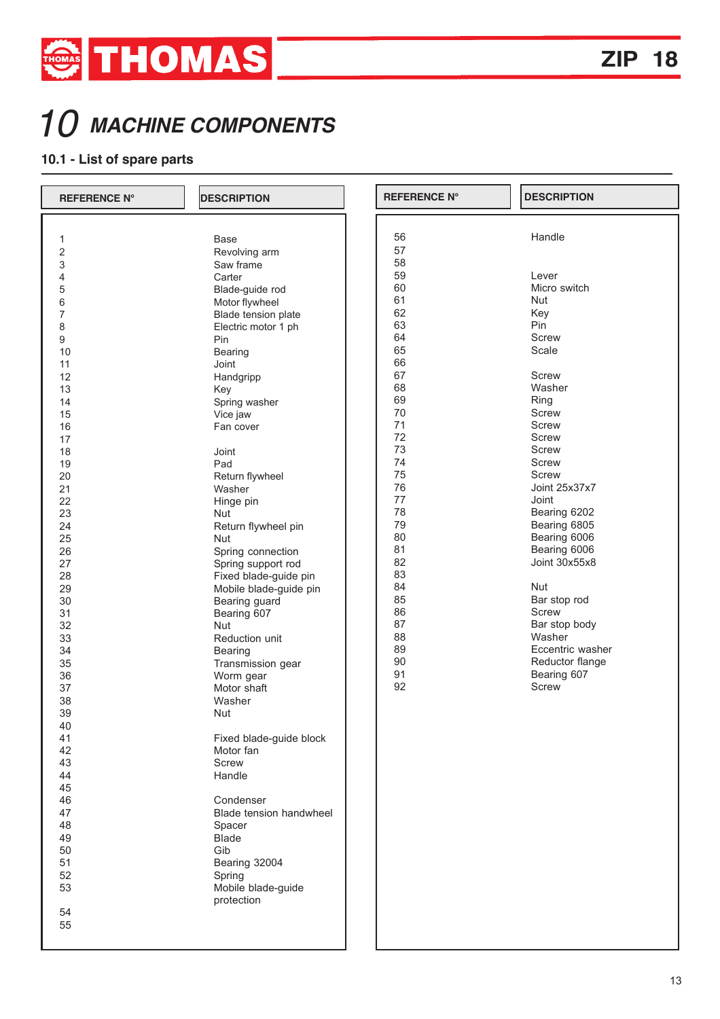

## *MACHINE COMPONENTS*

## **10.1 - List of spare parts**

| <b>REFERENCE N°</b> | <b>DESCRIPTION</b>             | <b>REFERENCE N°</b> | <b>DESCRIPTION</b> |
|---------------------|--------------------------------|---------------------|--------------------|
| 1                   | <b>Base</b>                    | 56                  | Handle             |
| $\boldsymbol{2}$    | Revolving arm                  | 57                  |                    |
| 3                   | Saw frame                      | 58                  |                    |
| 4                   | Carter                         | 59                  | Lever              |
| 5                   | Blade-guide rod                | 60                  | Micro switch       |
| 6                   | Motor flywheel                 | 61                  | Nut                |
| $\overline{7}$      | Blade tension plate            | 62                  | Key                |
| 8                   | Electric motor 1 ph            | 63                  | Pin                |
| 9                   | Pin                            | 64                  | <b>Screw</b>       |
| 10                  | Bearing                        | 65                  | Scale              |
| 11                  | Joint                          | 66                  |                    |
| 12                  |                                | 67                  | <b>Screw</b>       |
| 13                  | Handgripp<br>Key               | 68                  | Washer             |
| 14                  |                                | 69                  | Ring               |
| 15                  | Spring washer<br>Vice jaw      | 70                  | Screw              |
| 16                  | Fan cover                      | 71                  | <b>Screw</b>       |
|                     |                                | 72                  | Screw              |
| 17                  |                                | 73                  | Screw              |
| 18                  | Joint                          | 74                  | Screw              |
| 19<br>20            | Pad<br>Return flywheel         | 75                  | <b>Screw</b>       |
| 21                  | Washer                         | 76                  | Joint 25x37x7      |
|                     |                                | 77                  | Joint              |
| 22<br>23            | Hinge pin                      | 78                  | Bearing 6202       |
| 24                  | Nut                            | 79                  | Bearing 6805       |
|                     | Return flywheel pin            | 80                  | Bearing 6006       |
| 25<br>26            | Nut                            | 81                  | Bearing 6006       |
| 27                  | Spring connection              | 82                  | Joint 30x55x8      |
|                     | Spring support rod             | 83                  |                    |
| 28<br>29            | Fixed blade-guide pin          | 84                  | <b>Nut</b>         |
| 30                  | Mobile blade-guide pin         | 85                  | Bar stop rod       |
| 31                  | Bearing guard                  | 86                  | <b>Screw</b>       |
| 32                  | Bearing 607<br><b>Nut</b>      | 87                  | Bar stop body      |
| 33                  |                                | 88                  | Washer             |
| 34                  | Reduction unit                 | 89                  | Eccentric washer   |
| 35                  | Bearing                        | 90                  | Reductor flange    |
| 36                  | Transmission gear<br>Worm gear | 91                  | Bearing 607        |
| 37                  | Motor shaft                    | 92                  | <b>Screw</b>       |
| 38                  | Washer                         |                     |                    |
| 39                  |                                |                     |                    |
| 40                  | Nut                            |                     |                    |
| 41                  | Fixed blade-guide block        |                     |                    |
| 42                  | Motor fan                      |                     |                    |
| 43                  | <b>Screw</b>                   |                     |                    |
| 44                  | Handle                         |                     |                    |
| 45                  |                                |                     |                    |
| 46                  | Condenser                      |                     |                    |
| 47                  | Blade tension handwheel        |                     |                    |
| 48                  | Spacer                         |                     |                    |
| 49                  | <b>Blade</b>                   |                     |                    |
| 50                  | Gib                            |                     |                    |
| 51                  | Bearing 32004                  |                     |                    |
| 52                  | Spring                         |                     |                    |
| 53                  | Mobile blade-guide             |                     |                    |
|                     | protection                     |                     |                    |
| 54                  |                                |                     |                    |
| 55                  |                                |                     |                    |
|                     |                                |                     |                    |
|                     |                                |                     |                    |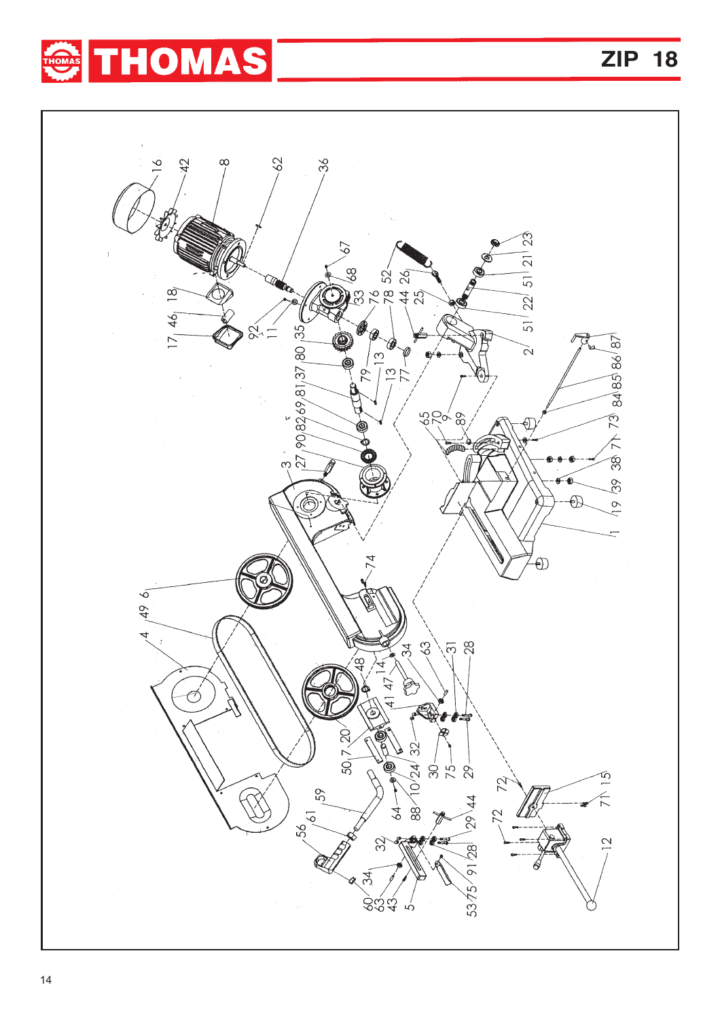